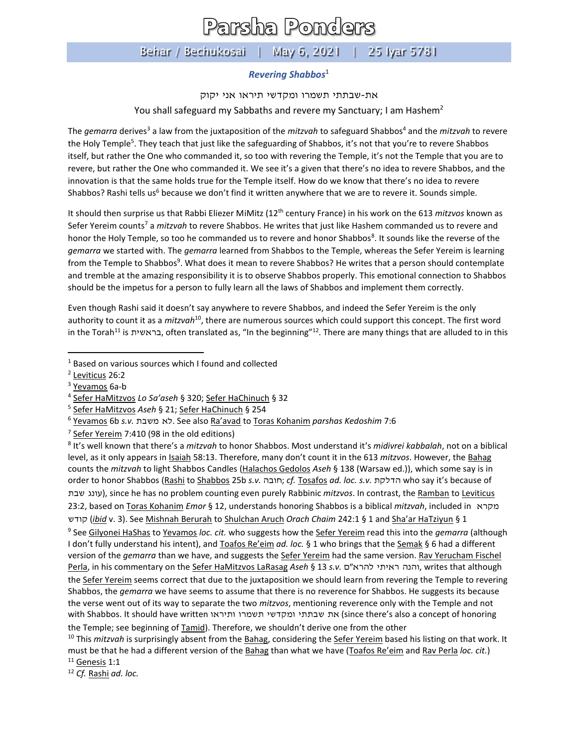## Parsha Ponders

## Behar / Bechukosai | May 6, 2021 | 25 Iyar 5781

## *Revering Shabbos*<sup>1</sup>

את-שבתתי תשמרו ומקדשי תיראו אני יקוק

You shall safeguard my Sabbaths and revere my Sanctuary; I am Hashem<sup>2</sup>

The *gemarra* derives<sup>3</sup> a law from the juxtaposition of the *mitzvah* to safeguard Shabbos<sup>4</sup> and the *mitzvah* to revere the Holy Temple<sup>5</sup>. They teach that just like the safeguarding of Shabbos, it's not that you're to revere Shabbos itself, but rather the One who commanded it, so too with revering the Temple, it's not the Temple that you are to revere, but rather the One who commanded it. We see it's a given that there's no idea to revere Shabbos, and the innovation is that the same holds true for the Temple itself. How do we know that there's no idea to revere Shabbos? Rashi tells us<sup>6</sup> because we don't find it written anywhere that we are to revere it. Sounds simple.

It should then surprise us that Rabbi Eliezer MiMitz (12th century France) in his work on the 613 *mitzvos* known as Sefer Yereim counts<sup>7</sup> a *mitzvah* to revere Shabbos. He writes that just like Hashem commanded us to revere and honor the Holy Temple, so too he commanded us to revere and honor Shabbos<sup>8</sup>. It sounds like the reverse of the *gemarra* we started with. The *gemarra* learned from Shabbos to the Temple, whereas the Sefer Yereim is learning from the Temple to Shabbos<sup>9</sup>. What does it mean to revere Shabbos? He writes that a person should contemplate and tremble at the amazing responsibility it is to observe Shabbos properly. This emotional connection to Shabbos should be the impetus for a person to fully learn all the laws of Shabbos and implement them correctly.

Even though Rashi said it doesn't say anywhere to revere Shabbos, and indeed the Sefer Yereim is the only authority to count it as a *mitzvah*<sup>10</sup>, there are numerous sources which could support this concept. The first word in the Torah<sup>11</sup> is בראשית, often translated as, "In the beginning"<sup>12</sup>. There are many things that are alluded to in this

8 It's well known that there's a *mitzvah* to honor Shabbos. Most understand it's *midivrei kabbalah*, not on a biblical level, as it only appears in Isaiah 58:13. Therefore, many don't count it in the 613 *mitzvos*. However, the Bahag counts the *mitzvah* to light Shabbos Candles (Halachos Gedolos *Aseh* § 138 (Warsaw ed.)), which some say is in order to honor Shabbos (Rashi to Shabbos 25b *s.v.* חובה ;*cf.* Tosafos *ad. loc. s.v.* הדלקת who say it's because of עונג שבת), since he has no problem counting even purely Rabbinic *mitzvos*. In contrast, the Ramban to Leviticus 23:2, based on Toras Kohanim *Emor* § 12, understands honoring Shabbos is a biblical *mitzvah*, included in מקרא קודש) *ibid* v. 3). See Mishnah Berurah to Shulchan Aruch *Orach Chaim* 242:1 § 1 and Sha'ar HaTziyun § 1

9 See Gilyonei HaShas to Yevamos *loc. cit.* who suggests how the Sefer Yereim read this into the *gemarra* (although I don't fully understand his intent), and Toafos Re'eim *ad. loc.* § 1 who brings that the Semak § 6 had a different version of the *gemarra* than we have, and suggests the **Sefer Yereim** had the same version. Rav Yerucham Fischel Perla, in his commentary on the Sefer HaMitzvos LaRasag *Aseh* § 13 *s.v.* ם"להרא ראיתי והנה, writes that although the Sefer Yereim seems correct that due to the juxtaposition we should learn from revering the Temple to revering Shabbos, the *gemarra* we have seems to assume that there is no reverence for Shabbos. He suggests its because the verse went out of its way to separate the two *mitzvos*, mentioning reverence only with the Temple and not with Shabbos. It should have written ותיראו תשמרו ומקדשי תי ת שב את) since there's also a concept of honoring the Temple; see beginning of Tamid). Therefore, we shouldn't derive one from the other

<sup>10</sup> This *mitzvah* is surprisingly absent from the **Bahag**, considering the Sefer Yereim based his listing on that work. It must be that he had a different version of the Bahag than what we have (Toafos Re'eim and Rav Perla *loc. cit.*)

 $11$  Genesis 1:1

<sup>12</sup> *Cf.* Rashi *ad. loc.*

<sup>1</sup> Based on various sources which I found and collected

<sup>&</sup>lt;sup>2</sup> Leviticus 26:2

<sup>&</sup>lt;sup>3</sup> Yevamos 6a-b

<sup>4</sup> Sefer HaMitzvos *Lo Sa'aseh* § 320; Sefer HaChinuch § 32

<sup>5</sup> Sefer HaMitzvos *Aseh* § 21; Sefer HaChinuch § 254

<sup>6</sup> Yevamos 6b *s.v.* משבת לא. See also Ra'avad to Toras Kohanim *parshas Kedoshim* 7:6

<sup>&</sup>lt;sup>7</sup> Sefer Yereim 7:410 (98 in the old editions)